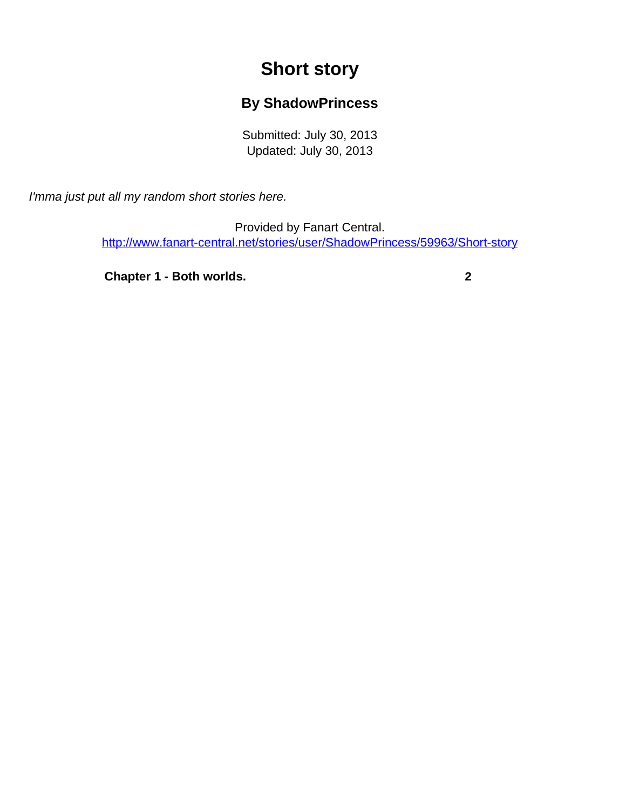## **Short story**

## **By ShadowPrincess**

Submitted: July 30, 2013 Updated: July 30, 2013

<span id="page-0-0"></span>I'mma just put all my random short stories here.

Provided by Fanart Central. [http://www.fanart-central.net/stories/user/ShadowPrincess/59963/Short-story](#page-0-0)

**[Chapter 1 - Both worlds.](#page-1-0) [2](#page-1-0)**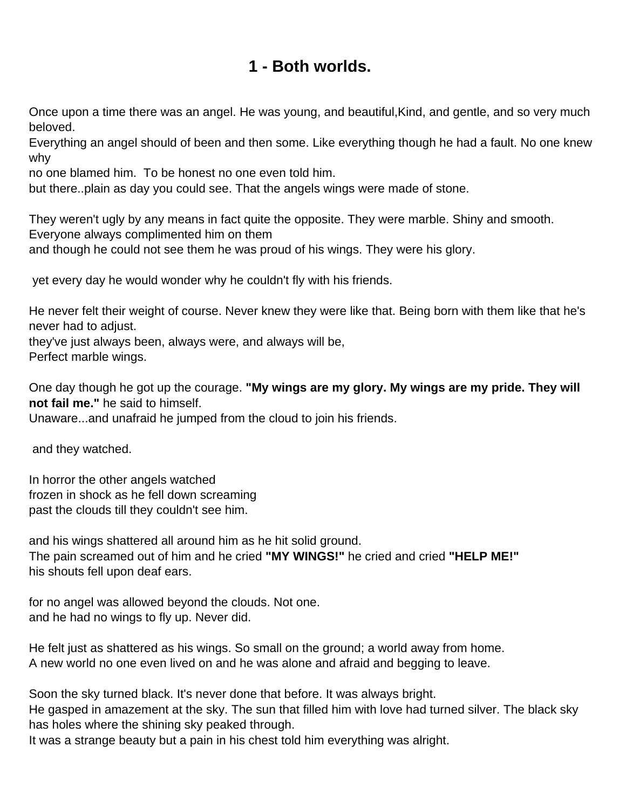## **1 - Both worlds.**

<span id="page-1-0"></span>Once upon a time there was an angel. He was young, and beautiful,Kind, and gentle, and so very much beloved.

Everything an angel should of been and then some. Like everything though he had a fault. No one knew why

no one blamed him. To be honest no one even told him.

but there..plain as day you could see. That the angels wings were made of stone.

They weren't ugly by any means in fact quite the opposite. They were marble. Shiny and smooth. Everyone always complimented him on them

and though he could not see them he was proud of his wings. They were his glory.

yet every day he would wonder why he couldn't fly with his friends.

He never felt their weight of course. Never knew they were like that. Being born with them like that he's never had to adjust.

they've just always been, always were, and always will be, Perfect marble wings.

One day though he got up the courage. **"My wings are my glory. My wings are my pride. They will not fail me."** he said to himself.

Unaware...and unafraid he jumped from the cloud to join his friends.

and they watched.

In horror the other angels watched frozen in shock as he fell down screaming past the clouds till they couldn't see him.

and his wings shattered all around him as he hit solid ground. The pain screamed out of him and he cried **"MY WINGS!"** he cried and cried **"HELP ME!"** his shouts fell upon deaf ears.

for no angel was allowed beyond the clouds. Not one. and he had no wings to fly up. Never did.

He felt just as shattered as his wings. So small on the ground; a world away from home. A new world no one even lived on and he was alone and afraid and begging to leave.

Soon the sky turned black. It's never done that before. It was always bright. He gasped in amazement at the sky. The sun that filled him with love had turned silver. The black sky has holes where the shining sky peaked through.

It was a strange beauty but a pain in his chest told him everything was alright.